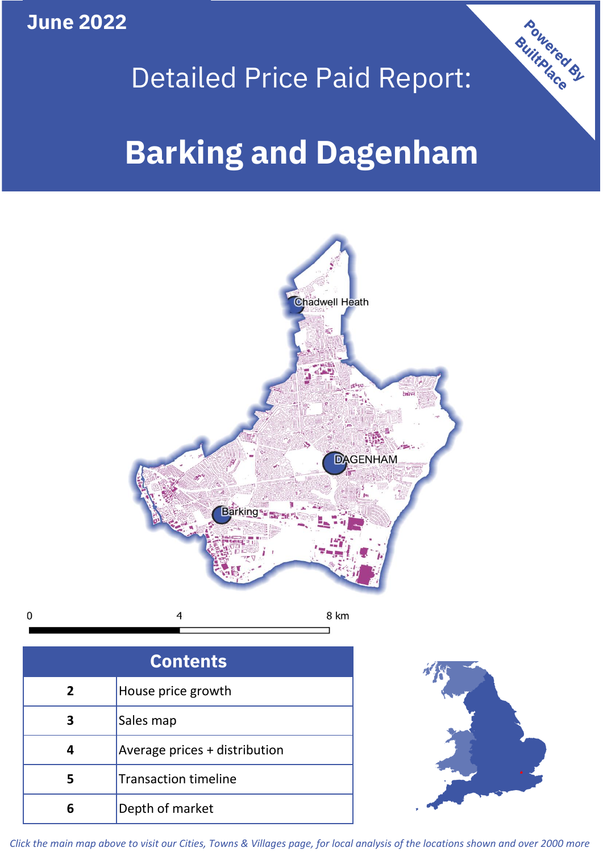**June 2022**

# Detailed Price Paid Report:

## **Barking and Dagenham**



| <b>Contents</b> |                               |  |  |  |  |
|-----------------|-------------------------------|--|--|--|--|
| $\overline{2}$  | House price growth            |  |  |  |  |
|                 | Sales map                     |  |  |  |  |
|                 | Average prices + distribution |  |  |  |  |
|                 | <b>Transaction timeline</b>   |  |  |  |  |
| 6               | Depth of market               |  |  |  |  |



Powered By

*Click the main map above to visit our Cities, Towns & Villages page, for local analysis of the locations shown and over 2000 more*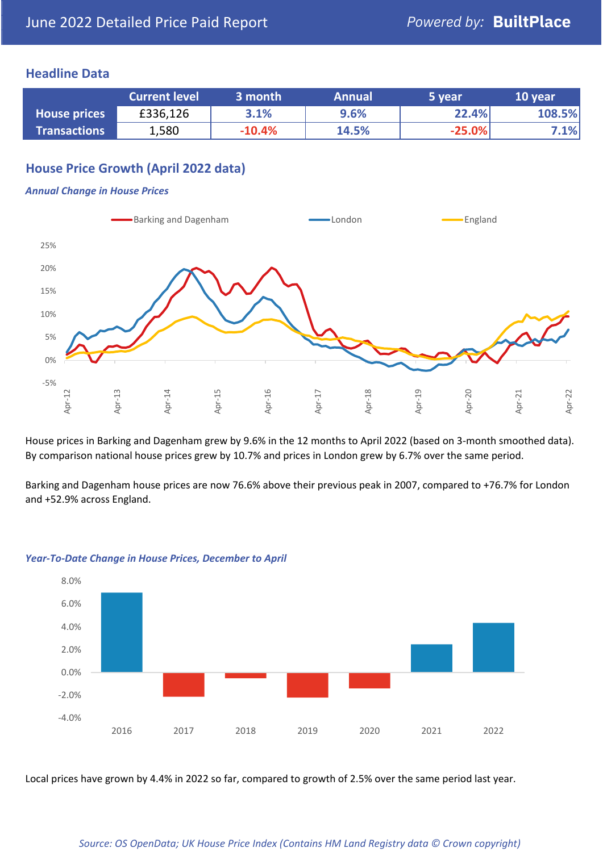## **Headline Data**

|                     | <b>Current level</b> | 3 month  | <b>Annual</b> | 5 year   | 10 year |
|---------------------|----------------------|----------|---------------|----------|---------|
| <b>House prices</b> | £336,126             | 3.1%     | 9.6%          | 22.4%    | 108.5%  |
| <b>Transactions</b> | 1,580                | $-10.4%$ | 14.5%         | $-25.0%$ | 7.1%    |

## **House Price Growth (April 2022 data)**

#### *Annual Change in House Prices*



House prices in Barking and Dagenham grew by 9.6% in the 12 months to April 2022 (based on 3-month smoothed data). By comparison national house prices grew by 10.7% and prices in London grew by 6.7% over the same period.

Barking and Dagenham house prices are now 76.6% above their previous peak in 2007, compared to +76.7% for London and +52.9% across England.



#### *Year-To-Date Change in House Prices, December to April*

Local prices have grown by 4.4% in 2022 so far, compared to growth of 2.5% over the same period last year.

#### *Source: OS OpenData; UK House Price Index (Contains HM Land Registry data © Crown copyright)*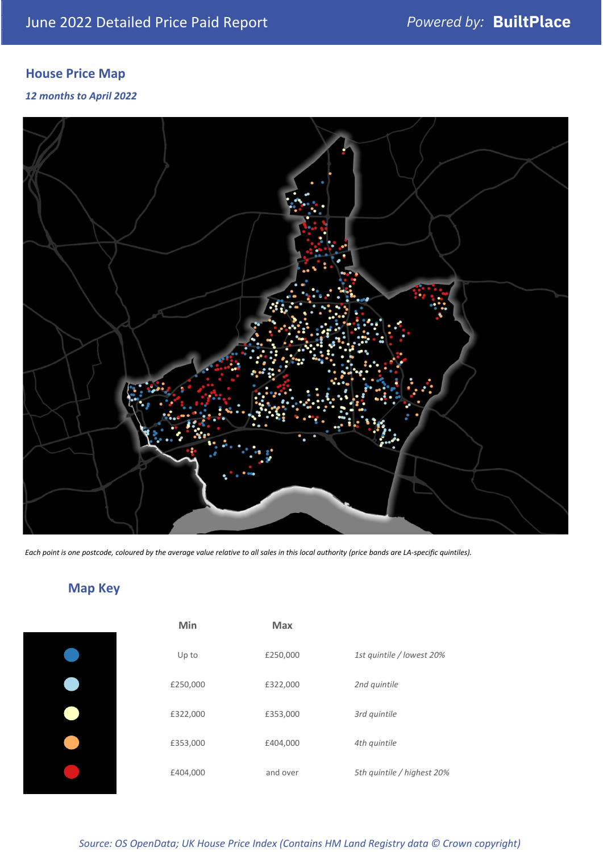## **House Price Map**

#### *12 months to April 2022*



*Each point is one postcode, coloured by the average value relative to all sales in this local authority (price bands are LA-specific quintiles).*

## **Map Key**

| Min      | Max      |                            |
|----------|----------|----------------------------|
| Up to    | £250,000 | 1st quintile / lowest 20%  |
| £250,000 | £322,000 | 2nd quintile               |
| £322,000 | £353,000 | 3rd quintile               |
| £353,000 | £404,000 | 4th quintile               |
| £404,000 | and over | 5th quintile / highest 20% |

## *Source: OS OpenData; UK House Price Index (Contains HM Land Registry data © Crown copyright)*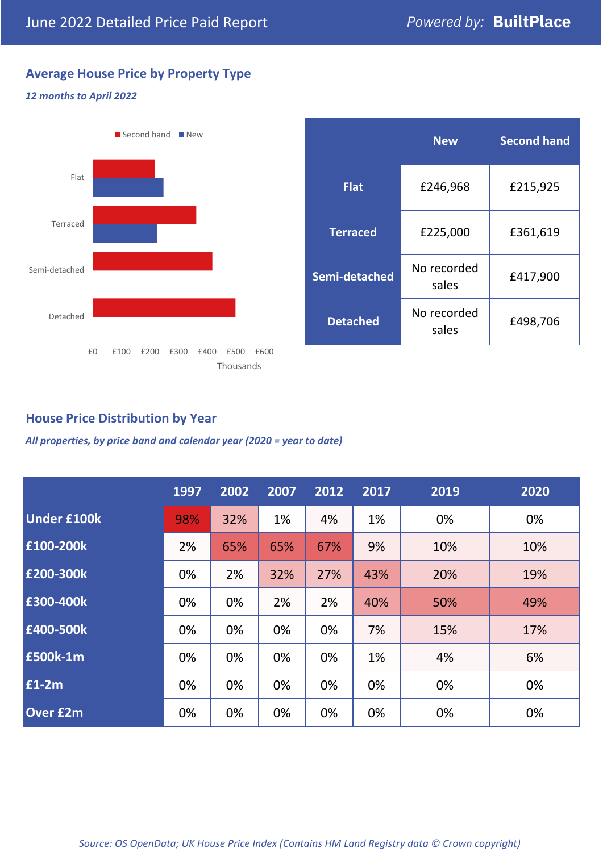## **Average House Price by Property Type**

#### *12 months to April 2022*



|                 | <b>New</b>           | <b>Second hand</b> |  |  |
|-----------------|----------------------|--------------------|--|--|
| <b>Flat</b>     | £246,968             | £215,925           |  |  |
| <b>Terraced</b> | £225,000             | £361,619           |  |  |
| Semi-detached   | No recorded<br>sales | £417,900           |  |  |
| <b>Detached</b> | No recorded<br>sales | £498,706           |  |  |

## **House Price Distribution by Year**

*All properties, by price band and calendar year (2020 = year to date)*

|                    | 1997 | 2002 | 2007 | 2012 | 2017 | 2019 | 2020 |
|--------------------|------|------|------|------|------|------|------|
| <b>Under £100k</b> | 98%  | 32%  | 1%   | 4%   | 1%   | 0%   | 0%   |
| £100-200k          | 2%   | 65%  | 65%  | 67%  | 9%   | 10%  | 10%  |
| E200-300k          | 0%   | 2%   | 32%  | 27%  | 43%  | 20%  | 19%  |
| E300-400k          | 0%   | 0%   | 2%   | 2%   | 40%  | 50%  | 49%  |
| £400-500k          | 0%   | 0%   | 0%   | 0%   | 7%   | 15%  | 17%  |
| <b>£500k-1m</b>    | 0%   | 0%   | 0%   | 0%   | 1%   | 4%   | 6%   |
| £1-2m              | 0%   | 0%   | 0%   | 0%   | 0%   | 0%   | 0%   |
| <b>Over £2m</b>    | 0%   | 0%   | 0%   | 0%   | 0%   | 0%   | 0%   |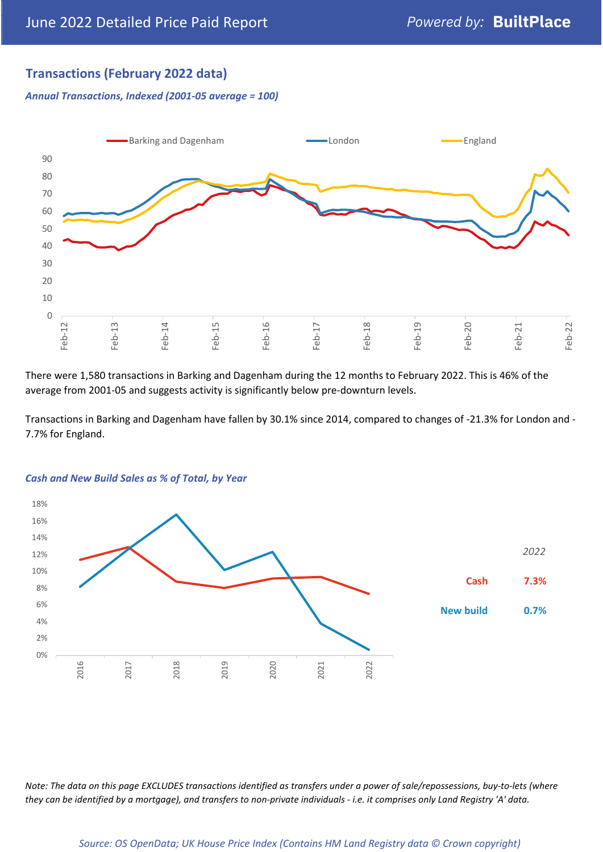## **Transactions (February 2022 data)**

*Annual Transactions, Indexed (2001-05 average = 100)*



There were 1,580 transactions in Barking and Dagenham during the 12 months to February 2022. This is 46% of the average from 2001-05 and suggests activity is significantly below pre-downturn levels.

Transactions in Barking and Dagenham have fallen by 30.1% since 2014, compared to changes of -21.3% for London and - 7.7% for England.



#### *Cash and New Build Sales as % of Total, by Year*

*Note: The data on this page EXCLUDES transactions identified as transfers under a power of sale/repossessions, buy-to-lets (where they can be identified by a mortgage), and transfers to non-private individuals - i.e. it comprises only Land Registry 'A' data.*